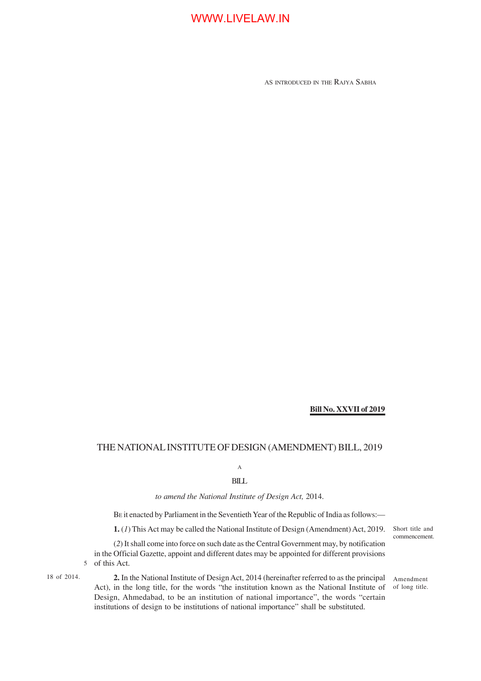AS INTRODUCED IN THE RAJYA SABHA

### **Bill No. XXVII of 2019**

### THE NATIONAL INSTITUTE OF DESIGN (AMENDMENT) BILL, 2019

A

### BILL

*to amend the National Institute of Design Act,* 2014.

BE it enacted by Parliament in the Seventieth Year of the Republic of India as follows:—

**1.** (*1*) This Act may be called the National Institute of Design (Amendment) Act, 2019. Short title and

(*2*) It shall come into force on such date as the Central Government may, by notification in the Official Gazette, appoint and different dates may be appointed for different provisions of this Act. 5

18 of 2014. 2. In the National Institute of Design Act, 2014 (hereinafter referred to as the principal Amendment Act), in the long title, for the words "the institution known as the National Institute of of long title. Design, Ahmedabad, to be an institution of national importance", the words "certain institutions of design to be institutions of national importance" shall be substituted.

commencement.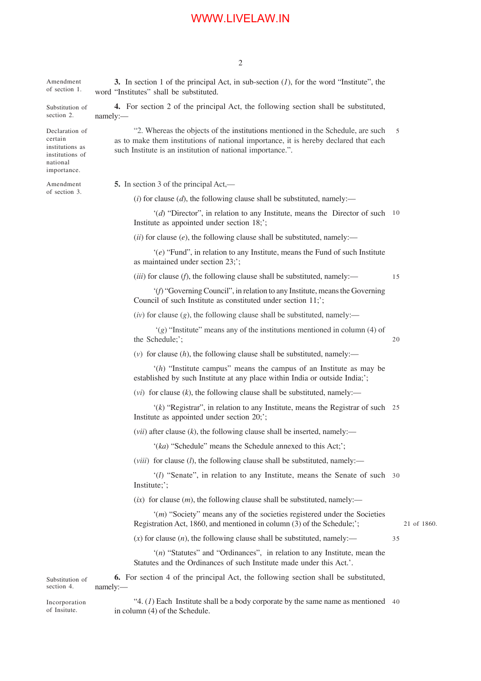**3.** In section 1 of the principal Act, in sub-section (*1*), for the word "Institute", the word "Institutes" shall be substituted. **4.** For section 2 of the principal Act, the following section shall be substituted, namely:— "2. Whereas the objects of the institutions mentioned in the Schedule, are such as to make them institutions of national importance, it is hereby declared that each such Institute is an institution of national importance.". **5.** In section 3 of the principal Act,—  $(i)$  for clause  $(d)$ , the following clause shall be substituted, namely:— '(*d*) "Director", in relation to any Institute, means the Director of such 10 Institute as appointed under section 18;';  $(iii)$  for clause  $(e)$ , the following clause shall be substituted, namely:— '(*e*) "Fund", in relation to any Institute, means the Fund of such Institute as maintained under section 23;'; (*iii*) for clause (*f*), the following clause shall be substituted, namely:— '(*f*) "Governing Council", in relation to any Institute, means the Governing Council of such Institute as constituted under section 11;';  $(iv)$  for clause  $(g)$ , the following clause shall be substituted, namely:— '(*g*) "Institute" means any of the institutions mentioned in column (4) of the Schedule;'; (*v*) for clause (*h*), the following clause shall be substituted, namely:— '(*h*) "Institute campus" means the campus of an Institute as may be established by such Institute at any place within India or outside India;';  $(vi)$  for clause  $(k)$ , the following clause shall be substituted, namely:— '(*k*) "Registrar", in relation to any Institute, means the Registrar of such 25 Institute as appointed under section 20;'; (*vii*) after clause (*k*), the following clause shall be inserted, namely:— '(*ka*) "Schedule" means the Schedule annexed to this Act;'; (*viii*) for clause (*l*), the following clause shall be substituted, namely:— '(*l*) "Senate", in relation to any Institute, means the Senate of such 30 Institute;';  $(ix)$  for clause  $(m)$ , the following clause shall be substituted, namely:— '(*m*) "Society" means any of the societies registered under the Societies Registration Act, 1860, and mentioned in column (3) of the Schedule;';  $(x)$  for clause  $(n)$ , the following clause shall be substituted, namely:— '(*n*) "Statutes" and "Ordinances", in relation to any Institute, mean the Statutes and the Ordinances of such Institute made under this Act.'. **6.** For section 4 of the principal Act, the following section shall be substituted, namely:— " $4. (1)$  Each Institute shall be a body corporate by the same name as mentioned  $40$ Amendment of section 1. Substitution of section 2. Declaration of certain institutions as institutions of national importance. Amendment of section 3. Substitution of section 4. Incorporation 5 15 20 35

21 of 1860.

in column (4) of the Schedule.

of Insitute.

2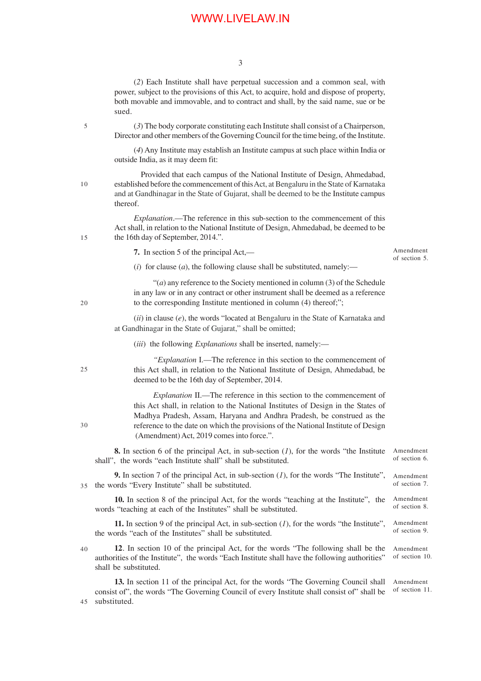3

(*2*) Each Institute shall have perpetual succession and a common seal, with power, subject to the provisions of this Act, to acquire, hold and dispose of property, both movable and immovable, and to contract and shall, by the said name, sue or be sued.

(*3*) The body corporate constituting each Institute shall consist of a Chairperson, Director and other members of the Governing Council for the time being, of the Institute.

(*4*) Any Institute may establish an Institute campus at such place within India or outside India, as it may deem fit:

 Provided that each campus of the National Institute of Design, Ahmedabad, established before the commencement of this Act, at Bengaluru in the State of Karnataka and at Gandhinagar in the State of Gujarat, shall be deemed to be the Institute campus thereof.

*Explanation*.—The reference in this sub-section to the commencement of this Act shall, in relation to the National Institute of Design, Ahmedabad, be deemed to be the 16th day of September, 2014.".

**7.** In section 5 of the principal Act,—

Amendment of section 5.

(*i*) for clause (*a*), the following clause shall be substituted, namely:—

"(*a*) any reference to the Society mentioned in column (3) of the Schedule in any law or in any contract or other instrument shall be deemed as a reference to the corresponding Institute mentioned in column (4) thereof;";

(*ii*) in clause (*e*), the words "located at Bengaluru in the State of Karnataka and at Gandhinagar in the State of Gujarat," shall be omitted;

(*iii*) the following *Explanations* shall be inserted, namely:—

 $25$ 

30

*"Explanation* I.—The reference in this section to the commencement of this Act shall, in relation to the National Institute of Design, Ahmedabad, be deemed to be the 16th day of September, 2014.

*Explanation* II.—The reference in this section to the commencement of this Act shall, in relation to the National Institutes of Design in the States of Madhya Pradesh, Assam, Haryana and Andhra Pradesh, be construed as the reference to the date on which the provisions of the National Institute of Design (Amendment) Act, 2019 comes into force.".

**8.** In section 6 of the principal Act, in sub-section (*1*), for the words "the Institute shall", the words "each Institute shall" shall be substituted. Amendment of section 6.

**9.** In section 7 of the principal Act, in sub-section (*1*), for the words "The Institute", the words "Every Institute" shall be substituted. Amendment of section 7. 35

**10.** In section 8 of the principal Act, for the words "teaching at the Institute", the words "teaching at each of the Institutes" shall be substituted. Amendment of section 8.

**11.** In section 9 of the principal Act, in sub-section (*1*), for the words "the Institute", the words "each of the Institutes" shall be substituted. Amendment of section 9.

40

**12**. In section 10 of the principal Act, for the words "The following shall be the authorities of the Institute", the words "Each Institute shall have the following authorities" shall be substituted. Amendment of section 10.

**13.** In section 11 of the principal Act, for the words "The Governing Council shall consist of", the words "The Governing Council of every Institute shall consist of" shall be substituted. Amendment of section 11. 45

20

5

10

15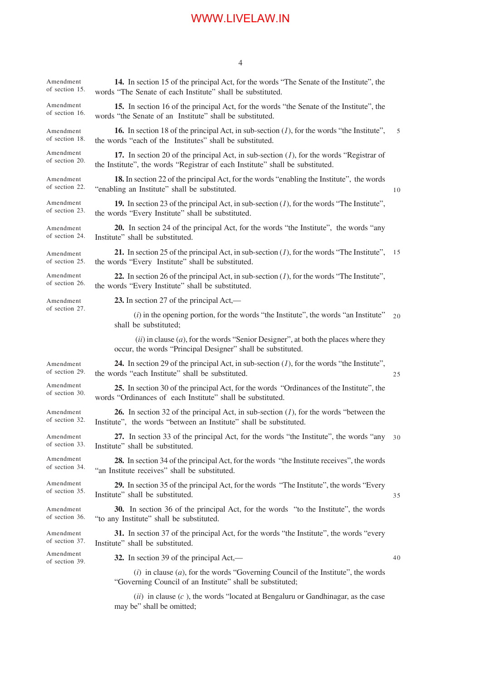|                             | 4                                                                                                                                                                           |    |  |  |
|-----------------------------|-----------------------------------------------------------------------------------------------------------------------------------------------------------------------------|----|--|--|
| Amendment<br>of section 15. | 14. In section 15 of the principal Act, for the words "The Senate of the Institute", the<br>words "The Senate of each Institute" shall be substituted.                      |    |  |  |
| Amendment<br>of section 16. | 15. In section 16 of the principal Act, for the words "the Senate of the Institute", the<br>words "the Senate of an Institute" shall be substituted.                        |    |  |  |
| Amendment<br>of section 18. | <b>16.</b> In section 18 of the principal Act, in sub-section $(l)$ , for the words "the Institute",<br>the words "each of the Institutes" shall be substituted.            | 5  |  |  |
| Amendment<br>of section 20. | 17. In section 20 of the principal Act, in sub-section $(l)$ , for the words "Registrar of<br>the Institute", the words "Registrar of each Institute" shall be substituted. |    |  |  |
| Amendment<br>of section 22. | 18. In section 22 of the principal Act, for the words "enabling the Institute", the words<br>"enabling an Institute" shall be substituted.                                  |    |  |  |
| Amendment<br>of section 23. | 19. In section 23 of the principal Act, in sub-section $(I)$ , for the words "The Institute",<br>the words "Every Institute" shall be substituted.                          |    |  |  |
| Amendment<br>of section 24. | 20. In section 24 of the principal Act, for the words "the Institute", the words "any<br>Institute" shall be substituted.                                                   |    |  |  |
| Amendment<br>of section 25. | 21. In section 25 of the principal Act, in sub-section $(I)$ , for the words "The Institute",<br>the words "Every Institute" shall be substituted.                          | 15 |  |  |
| Amendment<br>of section 26. | 22. In section 26 of the principal Act, in sub-section $(I)$ , for the words "The Institute",<br>the words "Every Institute" shall be substituted.                          |    |  |  |
| Amendment<br>of section 27. | 23. In section 27 of the principal Act,—                                                                                                                                    |    |  |  |
|                             | $(i)$ in the opening portion, for the words "the Institute", the words "an Institute"<br>shall be substituted;                                                              | 20 |  |  |
|                             | $(ii)$ in clause $(a)$ , for the words "Senior Designer", at both the places where they<br>occur, the words "Principal Designer" shall be substituted.                      |    |  |  |
| Amendment<br>of section 29. | <b>24.</b> In section 29 of the principal Act, in sub-section $(I)$ , for the words "the Institute",<br>the words "each Institute" shall be substituted.                    | 25 |  |  |
| Amendment<br>of section 30. | 25. In section 30 of the principal Act, for the words "Ordinances of the Institute", the<br>words "Ordinances of each Institute" shall be substituted.                      |    |  |  |
| Amendment<br>of section 32. | <b>26.</b> In section 32 of the principal Act, in sub-section $(I)$ , for the words "between the<br>Institute", the words "between an Institute" shall be substituted.      |    |  |  |
| Amendment<br>of section 33. | 27. In section 33 of the principal Act, for the words "the Institute", the words "any<br>Institute" shall be substituted.                                                   | 30 |  |  |
| Amendment<br>of section 34. | <b>28.</b> In section 34 of the principal Act, for the words "the Institute receives", the words<br>"an Institute receives" shall be substituted.                           |    |  |  |
| Amendment<br>of section 35. | 29. In section 35 of the principal Act, for the words "The Institute", the words "Every<br>Institute" shall be substituted.                                                 | 35 |  |  |
| Amendment<br>of section 36. | <b>30.</b> In section 36 of the principal Act, for the words "to the Institute", the words<br>"to any Institute" shall be substituted.                                      |    |  |  |
| Amendment<br>of section 37. | 31. In section 37 of the principal Act, for the words "the Institute", the words "every<br>Institute" shall be substituted.                                                 |    |  |  |
| Amendment<br>of section 39. | 32. In section 39 of the principal Act,—                                                                                                                                    | 40 |  |  |
|                             | $(i)$ in clause $(a)$ , for the words "Governing Council of the Institute", the words<br>"Governing Council of an Institute" shall be substituted;                          |    |  |  |
|                             | (ii) in clause $(c)$ the words "located at Rengaluru or Gandhinagar, as the case                                                                                            |    |  |  |

(*ii*) in clause (*c* ), the words "located at Bengaluru or Gandhinagar, as the case may be" shall be omitted;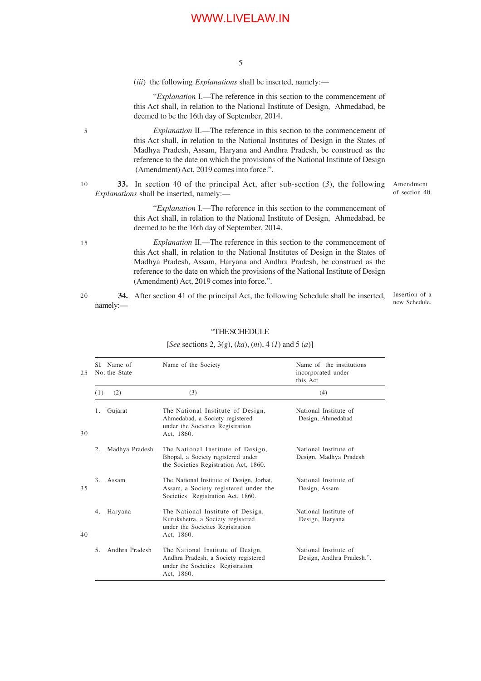5

(*iii*) the following *Explanations* shall be inserted, namely:—

5

15

"*Explanation* I.—The reference in this section to the commencement of this Act shall, in relation to the National Institute of Design, Ahmedabad, be deemed to be the 16th day of September, 2014.

*Explanation* II.—The reference in this section to the commencement of this Act shall, in relation to the National Institutes of Design in the States of Madhya Pradesh, Assam, Haryana and Andhra Pradesh, be construed as the reference to the date on which the provisions of the National Institute of Design (Amendment) Act, 2019 comes into force.".

**33.** In section 40 of the principal Act, after sub-section (*3*), the following *Explanations* shall be inserted, namely:— 10

Amendment of section 40.

"*Explanation* I.—The reference in this section to the commencement of this Act shall, in relation to the National Institute of Design, Ahmedabad, be deemed to be the 16th day of September, 2014.

*Explanation* II.—The reference in this section to the commencement of this Act shall, in relation to the National Institutes of Design in the States of Madhya Pradesh, Assam, Haryana and Andhra Pradesh, be construed as the reference to the date on which the provisions of the National Institute of Design (Amendment) Act, 2019 comes into force.".

 **34.** After section 41 of the principal Act, the following Schedule shall be inserted, namely:— 20

Insertion of a new Schedule.

|                | Sl. Name of<br>No. the State | Name of the Society                                                                                                         | Name of the institutions<br>incorporated under<br>this Act |
|----------------|------------------------------|-----------------------------------------------------------------------------------------------------------------------------|------------------------------------------------------------|
| (1)            | (2)                          | (3)                                                                                                                         | (4)                                                        |
| 1.             | Gujarat                      | The National Institute of Design,<br>Ahmedabad, a Society registered<br>under the Societies Registration<br>Act. 1860.      | National Institute of<br>Design, Ahmedabad                 |
| 2.             | Madhya Pradesh               | The National Institute of Design,<br>Bhopal, a Society registered under<br>the Societies Registration Act, 1860.            | National Institute of<br>Design, Madhya Pradesh            |
| 3 <sub>1</sub> | Assam                        | The National Institute of Design, Jorhat,<br>Assam, a Society registered under the<br>Societies Registration Act, 1860.     | National Institute of<br>Design, Assam                     |
| 4.             | Haryana                      | The National Institute of Design,<br>Kurukshetra, a Society registered<br>under the Societies Registration<br>Act, 1860.    | National Institute of<br>Design, Haryana                   |
| 5.             | Andhra Pradesh               | The National Institute of Design,<br>Andhra Pradesh, a Society registered<br>under the Societies Registration<br>Act, 1860. | National Institute of<br>Design, Andhra Pradesh.".         |

#### "THE SCHEDULE

#### [*See* sections 2, 3(*g*), (*ka*), (*m*), 4 (*1*) and 5 (*a*)]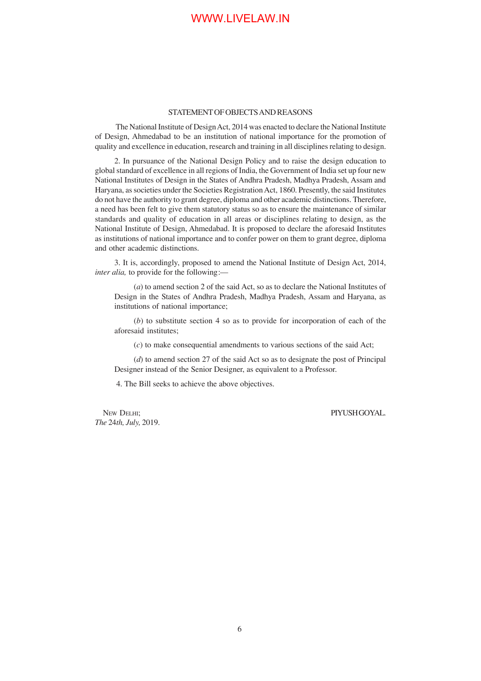#### STATEMENT OF OBJECTS AND REASONS

 The National Institute of Design Act, 2014 was enacted to declare the National Institute of Design, Ahmedabad to be an institution of national importance for the promotion of quality and excellence in education, research and training in all disciplines relating to design.

2. In pursuance of the National Design Policy and to raise the design education to global standard of excellence in all regions of India, the Government of India set up four new National Institutes of Design in the States of Andhra Pradesh, Madhya Pradesh, Assam and Haryana, as societies under the Societies Registration Act, 1860. Presently, the said Institutes do not have the authority to grant degree, diploma and other academic distinctions. Therefore, a need has been felt to give them statutory status so as to ensure the maintenance of similar standards and quality of education in all areas or disciplines relating to design, as the National Institute of Design, Ahmedabad. It is proposed to declare the aforesaid Institutes as institutions of national importance and to confer power on them to grant degree, diploma and other academic distinctions.

3. It is, accordingly, proposed to amend the National Institute of Design Act, 2014, *inter alia,* to provide for the following:—

(*a*) to amend section 2 of the said Act, so as to declare the National Institutes of Design in the States of Andhra Pradesh, Madhya Pradesh, Assam and Haryana, as institutions of national importance;

(*b*) to substitute section 4 so as to provide for incorporation of each of the aforesaid institutes;

(*c*) to make consequential amendments to various sections of the said Act;

(*d*) to amend section 27 of the said Act so as to designate the post of Principal Designer instead of the Senior Designer, as equivalent to a Professor.

4. The Bill seeks to achieve the above objectives.

NEW DELHI: PIYUSH GOYAL. *The* 24*th, July,* 2019.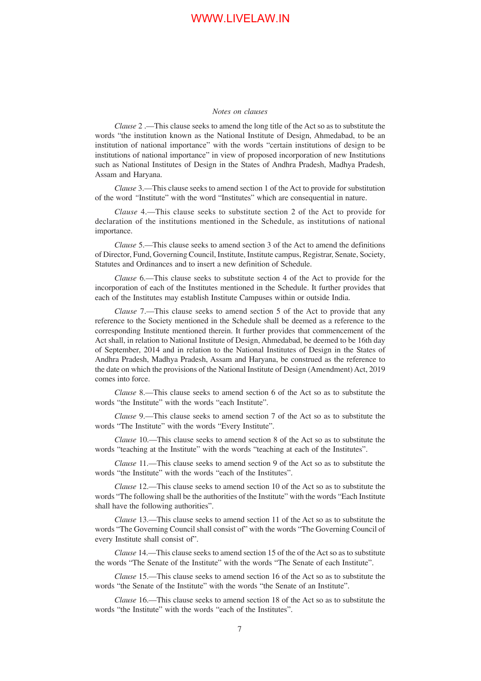#### *Notes on clauses*

*Clause* 2 .—This clause seeks to amend the long title of the Act so as to substitute the words "the institution known as the National Institute of Design, Ahmedabad, to be an institution of national importance" with the words "certain institutions of design to be institutions of national importance" in view of proposed incorporation of new Institutions such as National Institutes of Design in the States of Andhra Pradesh, Madhya Pradesh, Assam and Haryana.

*Clause* 3.—This clause seeks to amend section 1 of the Act to provide for substitution of the word *"*Institute" with the word "Institutes" which are consequential in nature.

*Clause* 4.—This clause seeks to substitute section 2 of the Act to provide for declaration of the institutions mentioned in the Schedule, as institutions of national importance.

*Clause* 5.—This clause seeks to amend section 3 of the Act to amend the definitions of Director, Fund, Governing Council, Institute, Institute campus, Registrar, Senate, Society, Statutes and Ordinances and to insert a new definition of Schedule.

*Clause* 6.—This clause seeks to substitute section 4 of the Act to provide for the incorporation of each of the Institutes mentioned in the Schedule. It further provides that each of the Institutes may establish Institute Campuses within or outside India.

*Clause* 7.—This clause seeks to amend section 5 of the Act to provide that any reference to the Society mentioned in the Schedule shall be deemed as a reference to the corresponding Institute mentioned therein. It further provides that commencement of the Act shall, in relation to National Institute of Design, Ahmedabad, be deemed to be 16th day of September, 2014 and in relation to the National Institutes of Design in the States of Andhra Pradesh, Madhya Pradesh, Assam and Haryana, be construed as the reference to the date on which the provisions of the National Institute of Design (Amendment) Act, 2019 comes into force.

*Clause* 8.—This clause seeks to amend section 6 of the Act so as to substitute the words "the Institute" with the words "each Institute".

*Clause* 9.—This clause seeks to amend section 7 of the Act so as to substitute the words "The Institute" with the words "Every Institute".

*Clause* 10.—This clause seeks to amend section 8 of the Act so as to substitute the words "teaching at the Institute" with the words "teaching at each of the Institutes".

*Clause* 11.—This clause seeks to amend section 9 of the Act so as to substitute the words "the Institute" with the words "each of the Institutes".

*Clause* 12.—This clause seeks to amend section 10 of the Act so as to substitute the words "The following shall be the authorities of the Institute" with the words "Each Institute shall have the following authorities".

*Clause* 13.—This clause seeks to amend section 11 of the Act so as to substitute the words "The Governing Council shall consist of" with the words "The Governing Council of every Institute shall consist of".

*Clause* 14.—This clause seeks to amend section 15 of the of the Act so as to substitute the words "The Senate of the Institute" with the words "The Senate of each Institute".

*Clause* 15.—This clause seeks to amend section 16 of the Act so as to substitute the words "the Senate of the Institute" with the words "the Senate of an Institute".

*Clause* 16.—This clause seeks to amend section 18 of the Act so as to substitute the words "the Institute" with the words "each of the Institutes".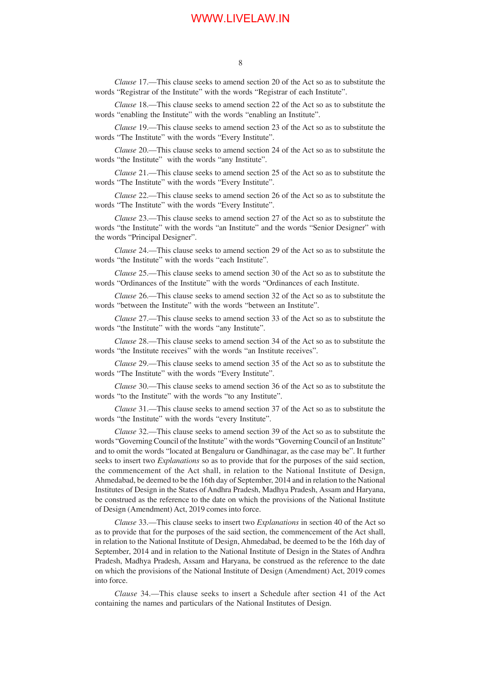*Clause* 17.—This clause seeks to amend section 20 of the Act so as to substitute the words "Registrar of the Institute" with the words "Registrar of each Institute".

*Clause* 18.—This clause seeks to amend section 22 of the Act so as to substitute the words "enabling the Institute" with the words "enabling an Institute".

*Clause* 19.—This clause seeks to amend section 23 of the Act so as to substitute the words "The Institute" with the words "Every Institute".

*Clause* 20.—This clause seeks to amend section 24 of the Act so as to substitute the words "the Institute" with the words "any Institute".

*Clause* 21.—This clause seeks to amend section 25 of the Act so as to substitute the words "The Institute" with the words "Every Institute".

*Clause* 22.—This clause seeks to amend section 26 of the Act so as to substitute the words "The Institute" with the words "Every Institute".

*Clause* 23.—This clause seeks to amend section 27 of the Act so as to substitute the words "the Institute" with the words "an Institute" and the words "Senior Designer" with the words "Principal Designer".

*Clause* 24.—This clause seeks to amend section 29 of the Act so as to substitute the words "the Institute" with the words "each Institute".

*Clause* 25.—This clause seeks to amend section 30 of the Act so as to substitute the words "Ordinances of the Institute" with the words "Ordinances of each Institute.

*Clause* 26.—This clause seeks to amend section 32 of the Act so as to substitute the words "between the Institute" with the words "between an Institute".

*Clause* 27.—This clause seeks to amend section 33 of the Act so as to substitute the words "the Institute" with the words "any Institute".

*Clause* 28.—This clause seeks to amend section 34 of the Act so as to substitute the words "the Institute receives" with the words "an Institute receives".

*Clause* 29.—This clause seeks to amend section 35 of the Act so as to substitute the words "The Institute" with the words "Every Institute".

*Clause* 30.—This clause seeks to amend section 36 of the Act so as to substitute the words "to the Institute" with the words "to any Institute".

*Clause* 31.—This clause seeks to amend section 37 of the Act so as to substitute the words "the Institute" with the words "every Institute".

*Clause* 32.—This clause seeks to amend section 39 of the Act so as to substitute the words "Governing Council of the Institute" with the words "Governing Council of an Institute" and to omit the words "located at Bengaluru or Gandhinagar, as the case may be". It further seeks to insert two *Explanations* so as to provide that for the purposes of the said section, the commencement of the Act shall, in relation to the National Institute of Design, Ahmedabad, be deemed to be the 16th day of September, 2014 and in relation to the National Institutes of Design in the States of Andhra Pradesh, Madhya Pradesh, Assam and Haryana, be construed as the reference to the date on which the provisions of the National Institute of Design (Amendment) Act, 2019 comes into force.

*Clause* 33.—This clause seeks to insert two *Explanations* in section 40 of the Act so as to provide that for the purposes of the said section, the commencement of the Act shall, in relation to the National Institute of Design, Ahmedabad, be deemed to be the 16th day of September, 2014 and in relation to the National Institute of Design in the States of Andhra Pradesh, Madhya Pradesh, Assam and Haryana, be construed as the reference to the date on which the provisions of the National Institute of Design (Amendment) Act, 2019 comes into force.

*Clause* 34.—This clause seeks to insert a Schedule after section 41 of the Act containing the names and particulars of the National Institutes of Design.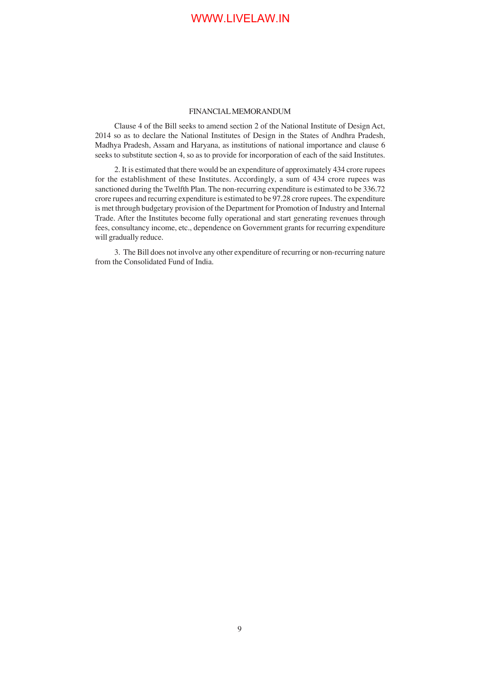#### FINANCIAL MEMORANDUM

Clause 4 of the Bill seeks to amend section 2 of the National Institute of Design Act, 2014 so as to declare the National Institutes of Design in the States of Andhra Pradesh, Madhya Pradesh, Assam and Haryana, as institutions of national importance and clause 6 seeks to substitute section 4, so as to provide for incorporation of each of the said Institutes.

2. It is estimated that there would be an expenditure of approximately 434 crore rupees for the establishment of these Institutes. Accordingly, a sum of 434 crore rupees was sanctioned during the Twelfth Plan. The non-recurring expenditure is estimated to be 336.72 crore rupees and recurring expenditure is estimated to be 97.28 crore rupees. The expenditure is met through budgetary provision of the Department for Promotion of Industry and Internal Trade. After the Institutes become fully operational and start generating revenues through fees, consultancy income, etc., dependence on Government grants for recurring expenditure will gradually reduce.

3. The Bill does not involve any other expenditure of recurring or non-recurring nature from the Consolidated Fund of India.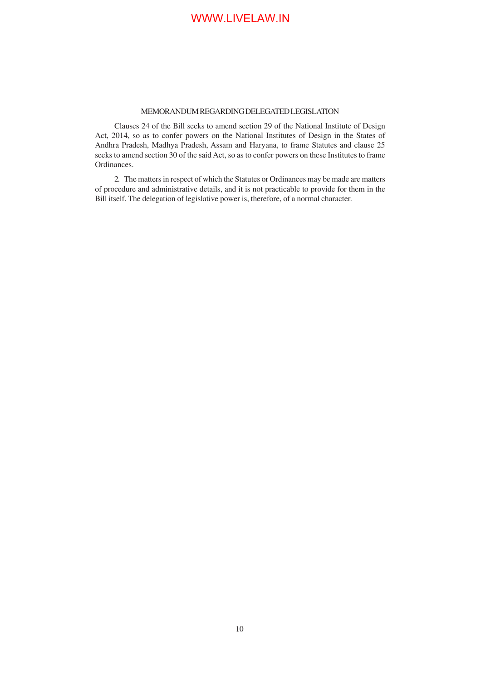### MEMORANDUM REGARDING DELEGATED LEGISLATION

Clauses 24 of the Bill seeks to amend section 29 of the National Institute of Design Act, 2014, so as to confer powers on the National Institutes of Design in the States of Andhra Pradesh, Madhya Pradesh, Assam and Haryana, to frame Statutes and clause 25 seeks to amend section 30 of the said Act, so as to confer powers on these Institutes to frame Ordinances.

2. The matters in respect of which the Statutes or Ordinances may be made are matters of procedure and administrative details, and it is not practicable to provide for them in the Bill itself. The delegation of legislative power is, therefore, of a normal character.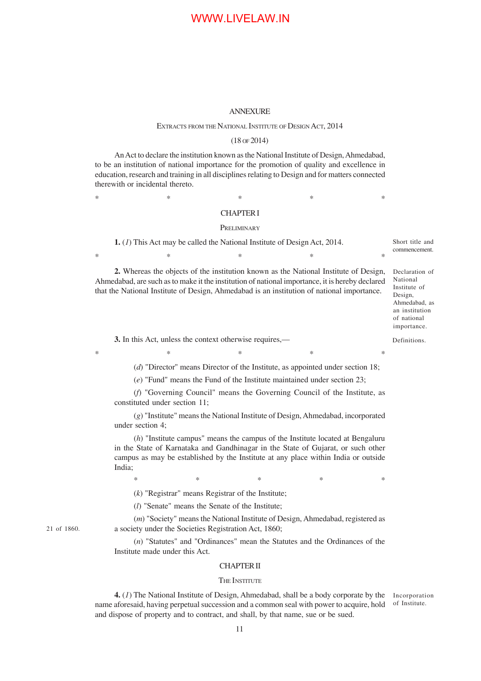#### ANNEXURE

#### EXTRACTS FROM THE NATIONAL INSTITUTE OF DESIGN ACT, 2014

#### (18 OF 2014)

An Act to declare the institution known as the National Institute of Design, Ahmedabad, to be an institution of national importance for the promotion of quality and excellence in education, research and training in all disciplines relating to Design and for matters connected therewith or incidental thereto.

### $*$  \*  $*$  \*  $*$  \*  $*$  \* CHAPTER I

#### **PRELIMINARY**

**1.** (*1*) This Act may be called the National Institute of Design Act, 2014. Short title and commencement.

**2.** Whereas the objects of the institution known as the National Institute of Design, Ahmedabad, are such as to make it the institution of national importance, it is hereby declared that the National Institute of Design, Ahmedabad is an institution of national importance.

 $*$  \*  $*$  \*  $*$  \*  $*$  \*

 $*$  \*  $*$  \*  $*$  \*  $*$  \*

Declaration of National Institute of Design, Ahmedabad, as an institution of national importance.

Definitions.

**3.** In this Act, unless the context otherwise requires,—

(*d*) "Director'' means Director of the Institute, as appointed under section 18;

(*e*) "Fund" means the Fund of the Institute maintained under section 23;

(*f*) "Governing Council" means the Governing Council of the Institute, as constituted under section 11;

(*g*) "Institute" means the National Institute of Design, Ahmedabad, incorporated under section 4;

(*h*) "Institute campus" means the campus of the Institute located at Bengaluru in the State of Karnataka and Gandhinagar in the State of Gujarat, or such other campus as may be established by the Institute at any place within India or outside India;

 $*$  \*  $*$  \*  $*$  \*  $*$ 

(*k*) "Registrar" means Registrar of the Institute;

(*l*) "Senate" means the Senate of the Institute;

(*m*) "Society" means the National Institute of Design, Ahmedabad, registered as a society under the Societies Registration Act, 1860;

(*n*) "Statutes" and "Ordinances" mean the Statutes and the Ordinances of the Institute made under this Act.

#### CHAPTER II

#### THE INSTITUTE

**4.** (*1*) The National Institute of Design, Ahmedabad, shall be a body corporate by the Incorporation name aforesaid, having perpetual succession and a common seal with power to acquire, hold and dispose of property and to contract, and shall, by that name, sue or be sued.

of Institute.

21 of 1860.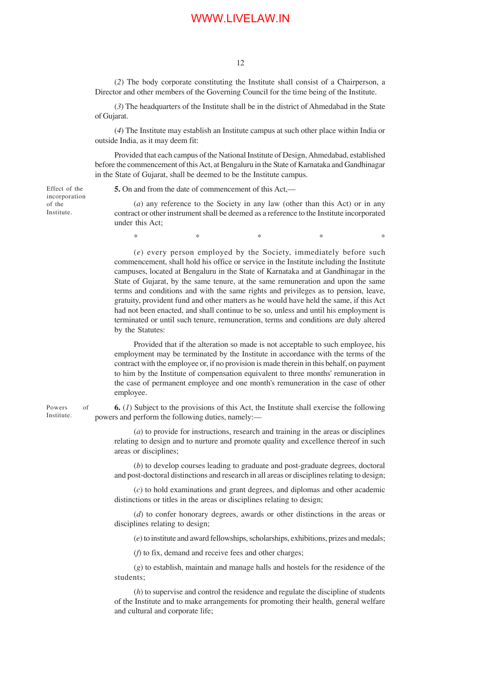(*2*) The body corporate constituting the Institute shall consist of a Chairperson, a Director and other members of the Governing Council for the time being of the Institute.

(*3*) The headquarters of the Institute shall be in the district of Ahmedabad in the State of Gujarat.

(*4*) The Institute may establish an Institute campus at such other place within India or outside India, as it may deem fit:

Provided that each campus of the National Institute of Design, Ahmedabad, established before the commencement of this Act, at Bengaluru in the State of Karnataka and Gandhinagar in the State of Gujarat, shall be deemed to be the Institute campus.

Effect of the incorporation of the Institute.

**5.** On and from the date of commencement of this Act,—

(*a*) any reference to the Society in any law (other than this Act) or in any contract or other instrument shall be deemed as a reference to the Institute incorporated under this Act;

 $*$  \*  $*$  \*  $*$  \*  $*$ 

(*e*) every person employed by the Society, immediately before such commencement, shall hold his office or service in the Institute including the Institute campuses, located at Bengaluru in the State of Karnataka and at Gandhinagar in the State of Gujarat, by the same tenure, at the same remuneration and upon the same terms and conditions and with the same rights and privileges as to pension, leave, gratuity, provident fund and other matters as he would have held the same, if this Act had not been enacted, and shall continue to be so, unless and until his employment is terminated or until such tenure, remuneration, terms and conditions are duly altered by the Statutes:

Provided that if the alteration so made is not acceptable to such employee, his employment may be terminated by the Institute in accordance with the terms of the contract with the employee or, if no provision is made therein in this behalf, on payment to him by the Institute of compensation equivalent to three months' remuneration in the case of permanent employee and one month's remuneration in the case of other employee.

**6.** (*1*) Subject to the provisions of this Act, the Institute shall exercise the following powers and perform the following duties, namely:—

(*a*) to provide for instructions, research and training in the areas or disciplines relating to design and to nurture and promote quality and excellence thereof in such areas or disciplines;

(*b*) to develop courses leading to graduate and post-graduate degrees, doctoral and post-doctoral distinctions and research in all areas or disciplines relating to design;

(*c*) to hold examinations and grant degrees, and diplomas and other academic distinctions or titles in the areas or disciplines relating to design;

(*d*) to confer honorary degrees, awards or other distinctions in the areas or disciplines relating to design;

(*e*) to institute and award fellowships, scholarships, exhibitions, prizes and medals;

(*f*) to fix, demand and receive fees and other charges;

(*g*) to establish, maintain and manage halls and hostels for the residence of the students;

(*h*) to supervise and control the residence and regulate the discipline of students of the Institute and to make arrangements for promoting their health, general welfare and cultural and corporate life;

Powers of Institute.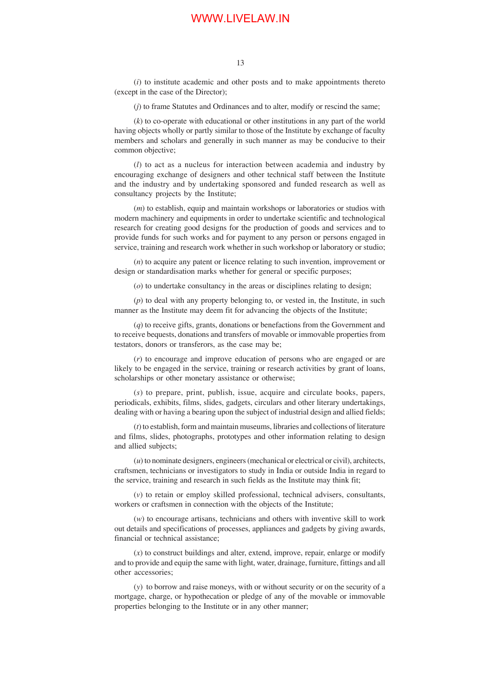(*i*) to institute academic and other posts and to make appointments thereto (except in the case of the Director);

(*j*) to frame Statutes and Ordinances and to alter, modify or rescind the same;

(*k*) to co-operate with educational or other institutions in any part of the world having objects wholly or partly similar to those of the Institute by exchange of faculty members and scholars and generally in such manner as may be conducive to their common objective;

(*l*) to act as a nucleus for interaction between academia and industry by encouraging exchange of designers and other technical staff between the Institute and the industry and by undertaking sponsored and funded research as well as consultancy projects by the Institute;

(*m*) to establish, equip and maintain workshops or laboratories or studios with modern machinery and equipments in order to undertake scientific and technological research for creating good designs for the production of goods and services and to provide funds for such works and for payment to any person or persons engaged in service, training and research work whether in such workshop or laboratory or studio;

(*n*) to acquire any patent or licence relating to such invention, improvement or design or standardisation marks whether for general or specific purposes;

(*o*) to undertake consultancy in the areas or disciplines relating to design;

(*p*) to deal with any property belonging to, or vested in, the Institute, in such manner as the Institute may deem fit for advancing the objects of the Institute;

(*q*) to receive gifts, grants, donations or benefactions from the Government and to receive bequests, donations and transfers of movable or immovable properties from testators, donors or transferors, as the case may be;

(*r*) to encourage and improve education of persons who are engaged or are likely to be engaged in the service, training or research activities by grant of loans, scholarships or other monetary assistance or otherwise;

(*s*) to prepare, print, publish, issue, acquire and circulate books, papers, periodicals, exhibits, films, slides, gadgets, circulars and other literary undertakings, dealing with or having a bearing upon the subject of industrial design and allied fields;

(*t*) to establish, form and maintain museums, libraries and collections of literature and films, slides, photographs, prototypes and other information relating to design and allied subjects;

(*u*) to nominate designers, engineers (mechanical or electrical or civil), architects, craftsmen, technicians or investigators to study in India or outside India in regard to the service, training and research in such fields as the Institute may think fit;

(*v*) to retain or employ skilled professional, technical advisers, consultants, workers or craftsmen in connection with the objects of the Institute;

(*w*) to encourage artisans, technicians and others with inventive skill to work out details and specifications of processes, appliances and gadgets by giving awards, financial or technical assistance;

(*x*) to construct buildings and alter, extend, improve, repair, enlarge or modify and to provide and equip the same with light, water, drainage, furniture, fittings and all other accessories;

(*y*) to borrow and raise moneys, with or without security or on the security of a mortgage, charge, or hypothecation or pledge of any of the movable or immovable properties belonging to the Institute or in any other manner;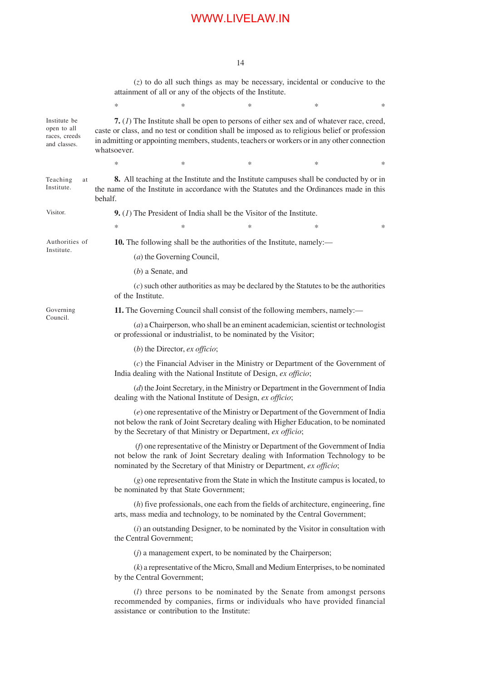14

(*z*) to do all such things as may be necessary, incidental or conducive to the attainment of all or any of the objects of the Institute.

|                                                              | *                                                                                                                                                 | *                                                                                                                                                                                                                                                                                            | * | * | * |  |  |  |
|--------------------------------------------------------------|---------------------------------------------------------------------------------------------------------------------------------------------------|----------------------------------------------------------------------------------------------------------------------------------------------------------------------------------------------------------------------------------------------------------------------------------------------|---|---|---|--|--|--|
| Institute be<br>open to all<br>races, creeds<br>and classes. | whatsoever.                                                                                                                                       | 7. $(I)$ The Institute shall be open to persons of either sex and of whatever race, creed,<br>caste or class, and no test or condition shall be imposed as to religious belief or profession<br>in admitting or appointing members, students, teachers or workers or in any other connection |   |   |   |  |  |  |
|                                                              | ∗                                                                                                                                                 | *                                                                                                                                                                                                                                                                                            | * | * | * |  |  |  |
| Teaching<br>at<br>Institute.                                 | behalf.                                                                                                                                           | 8. All teaching at the Institute and the Institute campuses shall be conducted by or in<br>the name of the Institute in accordance with the Statutes and the Ordinances made in this                                                                                                         |   |   |   |  |  |  |
| Visitor.                                                     |                                                                                                                                                   | <b>9.</b> $(I)$ The President of India shall be the Visitor of the Institute.                                                                                                                                                                                                                |   |   |   |  |  |  |
|                                                              | *                                                                                                                                                 | *                                                                                                                                                                                                                                                                                            | ∗ | * | * |  |  |  |
| Authorities of<br>Institute.                                 |                                                                                                                                                   | 10. The following shall be the authorities of the Institute, namely:—                                                                                                                                                                                                                        |   |   |   |  |  |  |
|                                                              |                                                                                                                                                   | (a) the Governing Council,                                                                                                                                                                                                                                                                   |   |   |   |  |  |  |
|                                                              |                                                                                                                                                   | $(b)$ a Senate, and                                                                                                                                                                                                                                                                          |   |   |   |  |  |  |
|                                                              | $(c)$ such other authorities as may be declared by the Statutes to be the authorities<br>of the Institute.                                        |                                                                                                                                                                                                                                                                                              |   |   |   |  |  |  |
| Governing<br>Council.                                        | 11. The Governing Council shall consist of the following members, namely:—                                                                        |                                                                                                                                                                                                                                                                                              |   |   |   |  |  |  |
|                                                              |                                                                                                                                                   | $(a)$ a Chairperson, who shall be an eminent academician, scientist or technologist<br>or professional or industrialist, to be nominated by the Visitor;                                                                                                                                     |   |   |   |  |  |  |
|                                                              |                                                                                                                                                   | (b) the Director, $ex$ officio;                                                                                                                                                                                                                                                              |   |   |   |  |  |  |
|                                                              |                                                                                                                                                   | $(c)$ the Financial Adviser in the Ministry or Department of the Government of<br>India dealing with the National Institute of Design, ex officio;                                                                                                                                           |   |   |   |  |  |  |
|                                                              | $(d)$ the Joint Secretary, in the Ministry or Department in the Government of India<br>dealing with the National Institute of Design, ex officio; |                                                                                                                                                                                                                                                                                              |   |   |   |  |  |  |
|                                                              |                                                                                                                                                   | (e) one representative of the Ministry or Department of the Government of India<br>not below the rank of Joint Secretary dealing with Higher Education, to be nominated<br>by the Secretary of that Ministry or Department, ex officio;                                                      |   |   |   |  |  |  |
|                                                              |                                                                                                                                                   | (f) one representative of the Ministry or Department of the Government of India<br>not below the rank of Joint Secretary dealing with Information Technology to be<br>nominated by the Secretary of that Ministry or Department, ex officio;                                                 |   |   |   |  |  |  |
|                                                              |                                                                                                                                                   | $(g)$ one representative from the State in which the Institute campus is located, to<br>be nominated by that State Government;                                                                                                                                                               |   |   |   |  |  |  |
|                                                              |                                                                                                                                                   | $(h)$ five professionals, one each from the fields of architecture, engineering, fine<br>arts, mass media and technology, to be nominated by the Central Government;                                                                                                                         |   |   |   |  |  |  |
|                                                              |                                                                                                                                                   | $(i)$ an outstanding Designer, to be nominated by the Visitor in consultation with<br>the Central Government;                                                                                                                                                                                |   |   |   |  |  |  |
|                                                              |                                                                                                                                                   | $(j)$ a management expert, to be nominated by the Chairperson;                                                                                                                                                                                                                               |   |   |   |  |  |  |
|                                                              |                                                                                                                                                   | $(k)$ a representative of the Micro, Small and Medium Enterprises, to be nominated<br>by the Central Government;                                                                                                                                                                             |   |   |   |  |  |  |
|                                                              |                                                                                                                                                   | ( <i>l</i> ) three persons to be nominated by the Senate from amongst persons<br>recommended by companies, firms or individuals who have provided financial<br>assistance or contribution to the Institute:                                                                                  |   |   |   |  |  |  |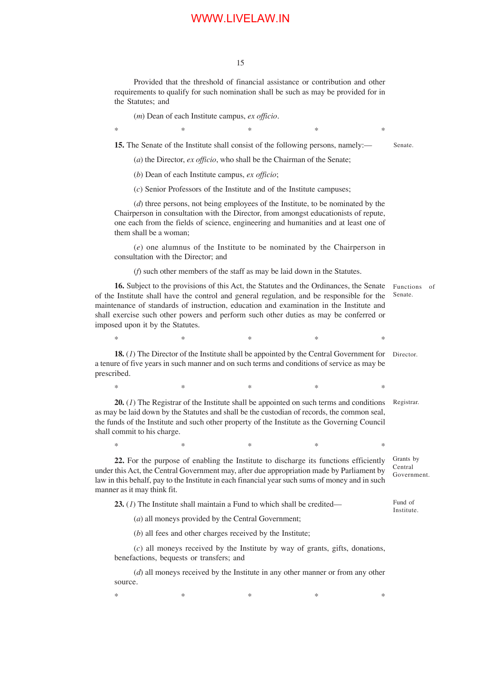15

Provided that the threshold of financial assistance or contribution and other requirements to qualify for such nomination shall be such as may be provided for in the Statutes; and

(*m*) Dean of each Institute campus, *ex officio*.

 $*$  \*  $*$  \*  $*$  \*  $*$  \* **15.** The Senate of the Institute shall consist of the following persons, namely:—

Senate.

(*a*) the Director, *ex officio*, who shall be the Chairman of the Senate;

(*b*) Dean of each Institute campus, *ex officio*;

(*c*) Senior Professors of the Institute and of the Institute campuses;

(*d*) three persons, not being employees of the Institute, to be nominated by the Chairperson in consultation with the Director, from amongst educationists of repute, one each from the fields of science, engineering and humanities and at least one of them shall be a woman;

(*e*) one alumnus of the Institute to be nominated by the Chairperson in consultation with the Director; and

(*f*) such other members of the staff as may be laid down in the Statutes.

**16.** Subject to the provisions of this Act, the Statutes and the Ordinances, the Senate of the Institute shall have the control and general regulation, and be responsible for the maintenance of standards of instruction, education and examination in the Institute and shall exercise such other powers and perform such other duties as may be conferred or imposed upon it by the Statutes. Functions of Senate.

 $*$  \*  $*$  \*  $*$  \*  $*$  \*

**18.** (*1*) The Director of the Institute shall be appointed by the Central Government for a tenure of five years in such manner and on such terms and conditions of service as may be prescribed. Director.

 $*$  \*  $*$  \*  $*$  \*  $*$  \*

**20.** (*1*) The Registrar of the Institute shall be appointed on such terms and conditions as may be laid down by the Statutes and shall be the custodian of records, the common seal, the funds of the Institute and such other property of the Institute as the Governing Council shall commit to his charge. Registrar.

 $*$  \*  $*$  \*  $*$  \*  $*$  \*

**22.** For the purpose of enabling the Institute to discharge its functions efficiently under this Act, the Central Government may, after due appropriation made by Parliament by law in this behalf, pay to the Institute in each financial year such sums of money and in such manner as it may think fit. Grants by Central Government.

**23.** (*1*) The Institute shall maintain a Fund to which shall be credited— Fund of Institute.

(*a*) all moneys provided by the Central Government;

(*b*) all fees and other charges received by the Institute;

(*c*) all moneys received by the Institute by way of grants, gifts, donations, benefactions, bequests or transfers; and

(*d*) all moneys received by the Institute in any other manner or from any other source.

 $*$  \*  $*$  \*  $*$  \*  $*$  \*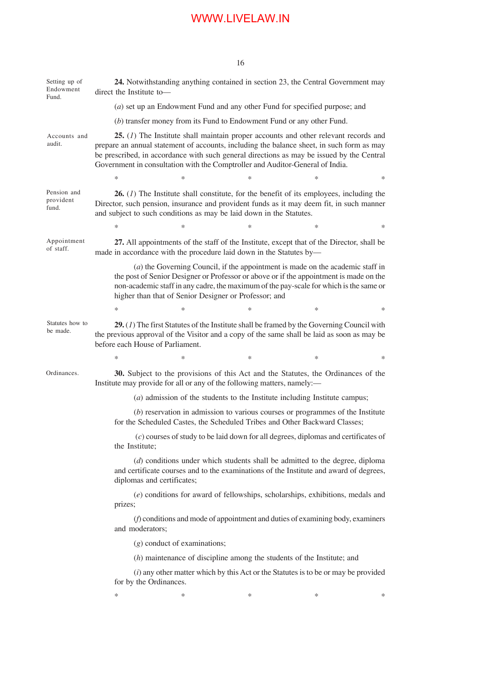**24.** Notwithstanding anything contained in section 23, the Central Government may direct the Institute to— (*a*) set up an Endowment Fund and any other Fund for specified purpose; and (*b*) transfer money from its Fund to Endowment Fund or any other Fund. **25.** (*1*) The Institute shall maintain proper accounts and other relevant records and prepare an annual statement of accounts, including the balance sheet, in such form as may be prescribed, in accordance with such general directions as may be issued by the Central Government in consultation with the Comptroller and Auditor-General of India.  $*$  \*  $*$  \*  $*$  \*  $*$  \* **26.** (*1*) The Institute shall constitute, for the benefit of its employees, including the Director, such pension, insurance and provident funds as it may deem fit, in such manner and subject to such conditions as may be laid down in the Statutes.  $*$  \*  $*$  \*  $*$  \*  $*$  \* **27.** All appointments of the staff of the Institute, except that of the Director, shall be made in accordance with the procedure laid down in the Statutes by— (*a*) the Governing Council, if the appointment is made on the academic staff in the post of Senior Designer or Professor or above or if the appointment is made on the non-academic staff in any cadre, the maximum of the pay-scale for which is the same or higher than that of Senior Designer or Professor; and  $*$  \*  $*$  \*  $*$  \*  $*$  \* **29.** (*1*) The first Statutes of the Institute shall be framed by the Governing Council with the previous approval of the Visitor and a copy of the same shall be laid as soon as may be before each House of Parliament.  $*$  \*  $*$  \*  $*$  \*  $*$  \* **30.** Subject to the provisions of this Act and the Statutes, the Ordinances of the Institute may provide for all or any of the following matters, namely:— (*a*) admission of the students to the Institute including Institute campus; (*b*) reservation in admission to various courses or programmes of the Institute for the Scheduled Castes, the Scheduled Tribes and Other Backward Classes; (*c*) courses of study to be laid down for all degrees, diplomas and certificates of the Institute; (*d*) conditions under which students shall be admitted to the degree, diploma and certificate courses and to the examinations of the Institute and award of degrees, diplomas and certificates; (*e*) conditions for award of fellowships, scholarships, exhibitions, medals and prizes; (*f*) conditions and mode of appointment and duties of examining body, examiners and moderators; (*g*) conduct of examinations; (*h*) maintenance of discipline among the students of the Institute; and (*i*) any other matter which by this Act or the Statutes is to be or may be provided for by the Ordinances.  $*$  \*  $*$  \*  $*$  \*  $*$  \* Setting up of Endowment Fund. Accounts and audit. Pension and provident fund. Appointment of staff. Statutes how to be made. Ordinances.

16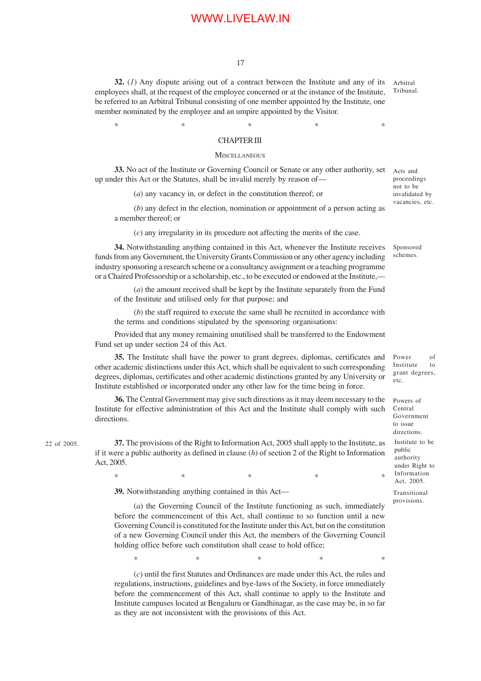17

**32.** (*1*) Any dispute arising out of a contract between the Institute and any of its employees shall, at the request of the employee concerned or at the instance of the Institute, be referred to an Arbitral Tribunal consisting of one member appointed by the Institute, one member nominated by the employee and an umpire appointed by the Visitor.

 $*$  \*  $*$  \*  $*$  \*  $*$  \*

Arbitral Tribunal.

Acts and proceedings not to be invalidated by vacancies, etc.

#### CHAPTER III

#### **MISCELLANEOUS**

**33.** No act of the Institute or Governing Council or Senate or any other authority, set up under this Act or the Statutes, shall be invalid merely by reason of—

(*a*) any vacancy in, or defect in the constitution thereof; or

(*b*) any defect in the election, nomination or appointment of a person acting as a member thereof; or

(*c*) any irregularity in its procedure not affecting the merits of the case.

**34.** Notwithstanding anything contained in this Act, whenever the Institute receives funds from any Government, the University Grants Commission or any other agency including industry sponsoring a research scheme or a consultancy assignment or a teaching programme or a Chaired Professorship or a scholarship, etc., to be executed or endowed at the Institute,—

(*a*) the amount received shall be kept by the Institute separately from the Fund of the Institute and utilised only for that purpose; and

(*b*) the staff required to execute the same shall be recruited in accordance with the terms and conditions stipulated by the sponsoring organisations:

Provided that any money remaining unutilised shall be transferred to the Endowment Fund set up under section 24 of this Act.

**35.** The Institute shall have the power to grant degrees, diplomas, certificates and other academic distinctions under this Act, which shall be equivalent to such corresponding degrees, diplomas, certificates and other academic distinctions granted by any University or Institute established or incorporated under any other law for the time being in force.

**36.** The Central Government may give such directions as it may deem necessary to the Institute for effective administration of this Act and the Institute shall comply with such directions.

22 of 2005.

**37.** The provisions of the Right to Information Act, 2005 shall apply to the Institute, as if it were a public authority as defined in clause (*h*) of section 2 of the Right to Information Act, 2005.

 $*$  \*  $*$  \*  $*$  \*  $*$  \*

**39.** Notwithstanding anything contained in this Act—

(*a*) the Governing Council of the Institute functioning as such, immediately before the commencement of this Act, shall continue to so function until a new Governing Council is constituted for the Institute under this Act, but on the constitution of a new Governing Council under this Act, the members of the Governing Council holding office before such constitution shall cease to hold office;

 $*$  \*  $*$  \*  $*$  \*  $*$ 

(*c*) until the first Statutes and Ordinances are made under this Act, the rules and regulations, instructions, guidelines and bye-laws of the Society, in force immediately before the commencement of this Act, shall continue to apply to the Institute and Institute campuses located at Bengaluru or Gandhinagar, as the case may be, in so far as they are not inconsistent with the provisions of this Act.

Sponsored schemes.

Power of Institute to grant degrees, etc.

Powers of Central Government to issue directions.

Institute to be public authority under Right to Information Act, 2005.

Transitional provisions.